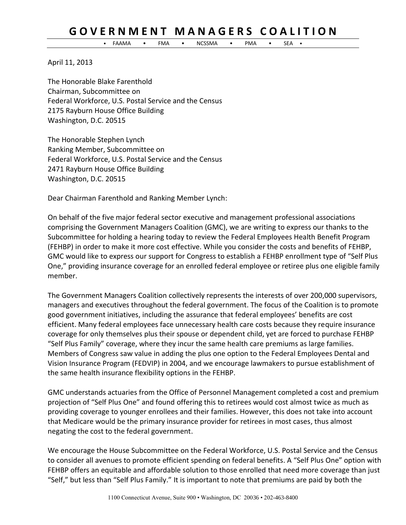## **G O V E R N M E N T M A N A G E R S C O A L I T I O N**

• FAAMA • FMA • NCSSMA • PMA • SEA •

April 11, 2013

The Honorable Blake Farenthold Chairman, Subcommittee on Federal Workforce, U.S. Postal Service and the Census 2175 Rayburn House Office Building Washington, D.C. 20515

The Honorable Stephen Lynch Ranking Member, Subcommittee on Federal Workforce, U.S. Postal Service and the Census 2471 Rayburn House Office Building Washington, D.C. 20515

Dear Chairman Farenthold and Ranking Member Lynch:

On behalf of the five major federal sector executive and management professional associations comprising the Government Managers Coalition (GMC), we are writing to express our thanks to the Subcommittee for holding a hearing today to review the Federal Employees Health Benefit Program (FEHBP) in order to make it more cost effective. While you consider the costs and benefits of FEHBP, GMC would like to express our support for Congress to establish a FEHBP enrollment type of "Self Plus One," providing insurance coverage for an enrolled federal employee or retiree plus one eligible family member.

The Government Managers Coalition collectively represents the interests of over 200,000 supervisors, managers and executives throughout the federal government. The focus of the Coalition is to promote good government initiatives, including the assurance that federal employees' benefits are cost efficient. Many federal employees face unnecessary health care costs because they require insurance coverage for only themselves plus their spouse or dependent child, yet are forced to purchase FEHBP "Self Plus Family" coverage, where they incur the same health care premiums as large families. Members of Congress saw value in adding the plus one option to the Federal Employees Dental and Vision Insurance Program (FEDVIP) in 2004, and we encourage lawmakers to pursue establishment of the same health insurance flexibility options in the FEHBP.

GMC understands actuaries from the Office of Personnel Management completed a cost and premium projection of "Self Plus One" and found offering this to retirees would cost almost twice as much as providing coverage to younger enrollees and their families. However, this does not take into account that Medicare would be the primary insurance provider for retirees in most cases, thus almost negating the cost to the federal government.

We encourage the House Subcommittee on the Federal Workforce, U.S. Postal Service and the Census to consider all avenues to promote efficient spending on federal benefits. A "Self Plus One" option with FEHBP offers an equitable and affordable solution to those enrolled that need more coverage than just "Self," but less than "Self Plus Family." It is important to note that premiums are paid by both the